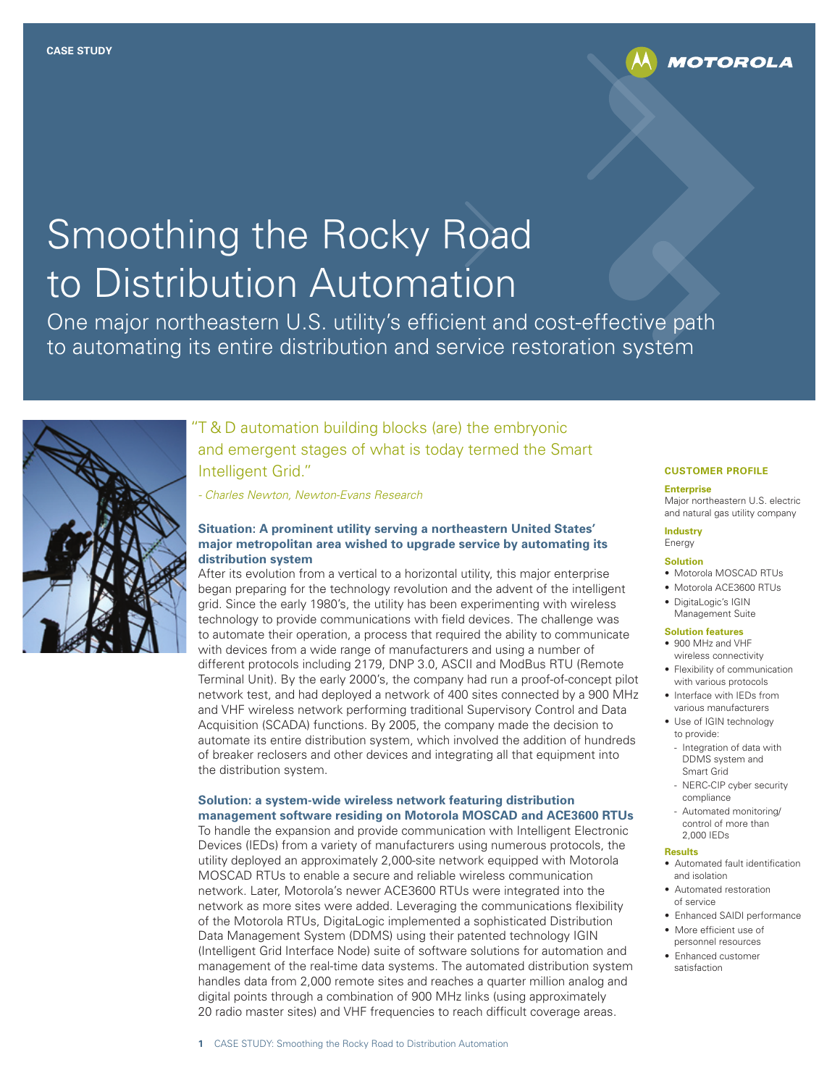

# **Smoothing the Rocky Road** to Distribution Automation

One major northeastern U.S. utility's efficient and cost-effective path to automating its entire distribution and service restoration system



# T & D automation building blocks (are) the embryonic and emergent stages of what is today termed the Smart Intelligent Grid."

*- Charles Newton, Newton-Evans Research* 

#### **Situation: A prominent utility serving a northeastern United States' major metropolitan area wished to upgrade service by automating its distribution system**

After its evolution from a vertical to a horizontal utility, this major enterprise began preparing for the technology revolution and the advent of the intelligent grid. Since the early 1980's, the utility has been experimenting with wireless technology to provide communications with field devices. The challenge was to automate their operation, a process that required the ability to communicate with devices from a wide range of manufacturers and using a number of different protocols including 2179, DNP 3.0, ASCII and ModBus RTU (Remote Terminal Unit). By the early 2000's, the company had run a proof-of-concept pilot network test, and had deployed a network of 400 sites connected by a 900 MHz and VHF wireless network performing traditional Supervisory Control and Data Acquisition (SCADA) functions. By 2005, the company made the decision to automate its entire distribution system, which involved the addition of hundreds of breaker reclosers and other devices and integrating all that equipment into the distribution system.

#### **Solution: a system-wide wireless network featuring distribution management software residing on Motorola MOSCAD and ACE3600 RTUs**

To handle the expansion and provide communication with Intelligent Electronic Devices (IEDs) from a variety of manufacturers using numerous protocols, the utility deployed an approximately 2,000-site network equipped with Motorola MOSCAD RTUs to enable a secure and reliable wireless communication network. Later, Motorola's newer ACE3600 RTUs were integrated into the network as more sites were added. Leveraging the communications flexibility of the Motorola RTUs, DigitaLogic implemented a sophisticated Distribution Data Management System (DDMS) using their patented technology IGIN (Intelligent Grid Interface Node) suite of software solutions for automation and management of the real-time data systems. The automated distribution system handles data from 2,000 remote sites and reaches a quarter million analog and digital points through a combination of 900 MHz links (using approximately 20 radio master sites) and VHF frequencies to reach difficult coverage areas.

#### **CUSTOMER PROFILE**

#### **Enterprise**

Major northeastern U.S. electric and natural gas utility company

#### **Industry** Energy

## **Solution**

- • Motorola MOSCAD RTUs
- Motorola ACE3600 RTUs
- DigitaLogic's IGIN Management Suite

#### **Solution features**

- 900 MHz and VHF wireless connectivity
- Flexibility of communication with various protocols
- • Interface with IEDs from various manufacturers
- Use of IGIN technology to provide:
	- Integration of data with DDMS system and Smart Grid
	- NERC-CIP cyber security compliance
	- Automated monitoring/ control of more than 2,000 IEDs

#### **Results**

- Automated fault identification and isolation
- Automated restoration of service
- Enhanced SAIDI performance
- More efficient use of personnel resources
- Enhanced customer satisfaction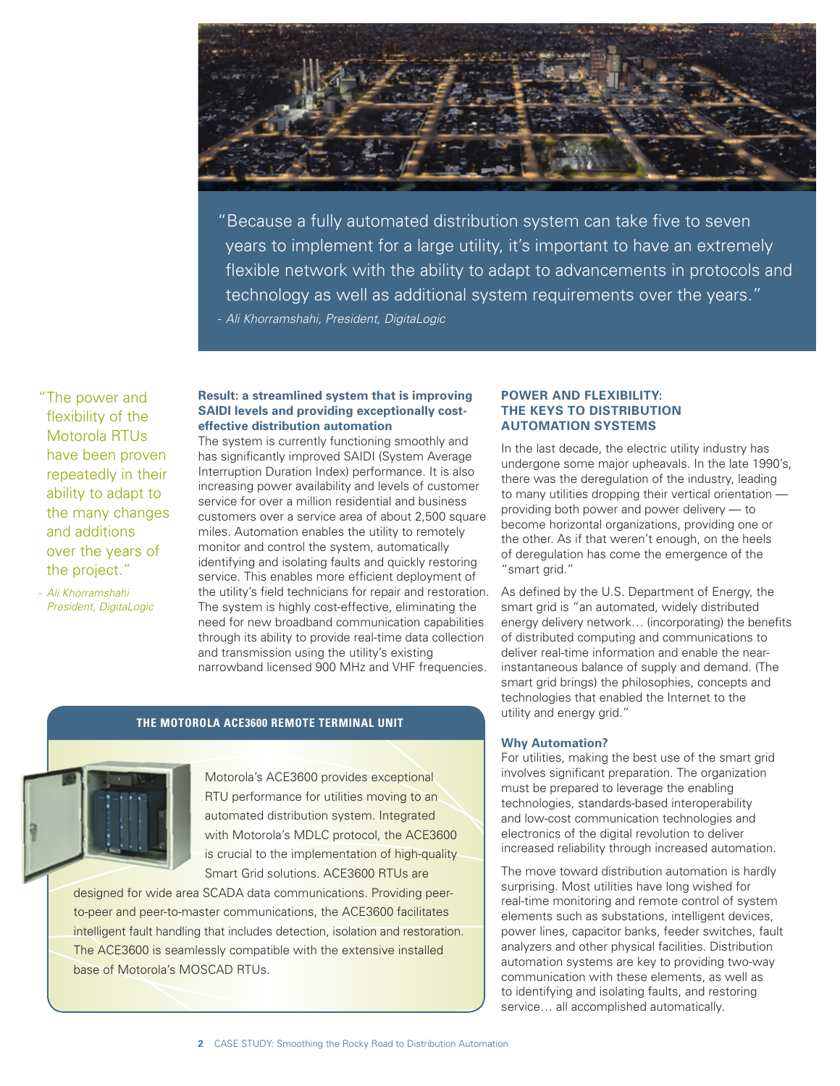

"Because a fully automated distribution system can take five to seven years to implement for a large utility, it's important to have an extremely flexible network with the ability to adapt to advancements in protocols and technology as well as additional system requirements over the years." *- Ali Khorramshahi, President, DigitaLogic*

"The power and flexibility of the Motorola RTUs have been proven repeatedly in their ability to adapt to the many changes and additions over the years of the project."

*- Ali Khorramshahi President, DigitaLogic*

#### **Result: a streamlined system that is improving SAIDI levels and providing exceptionally costeffective distribution automation**

The system is currently functioning smoothly and has significantly improved SAIDI (System Average Interruption Duration Index) performance. It is also increasing power availability and levels of customer service for over a million residential and business customers over a service area of about 2,500 square miles. Automation enables the utility to remotely monitor and control the system, automatically identifying and isolating faults and quickly restoring service. This enables more efficient deployment of the utility's field technicians for repair and restoration. The system is highly cost-effective, eliminating the need for new broadband communication capabilities through its ability to provide real-time data collection and transmission using the utility's existing narrowband licensed 900 MHz and VHF frequencies.

## **THE MOTOROLA ACE3600 REMOTE TERMINAL UNIT**

Motorola's ACE3600 provides exceptional RTU performance for utilities moving to an automated distribution system. Integrated with Motorola's MDLC protocol, the ACE3600 is crucial to the implementation of high-quality Smart Grid solutions. ACE3600 RTUs are

designed for wide area SCADA data communications. Providing peerto-peer and peer-to-master communications, the ACE3600 facilitates intelligent fault handling that includes detection, isolation and restoration. The ACE3600 is seamlessly compatible with the extensive installed base of Motorola's MOSCAD RTUs.

#### **POWER AND FLEXIBILITY: THE KEYS TO DISTRIBUTION AUTOMATION SYSTEMS**

In the last decade, the electric utility industry has undergone some major upheavals. In the late 1990's, there was the deregulation of the industry, leading to many utilities dropping their vertical orientation providing both power and power delivery — to become horizontal organizations, providing one or the other. As if that weren't enough, on the heels of deregulation has come the emergence of the "smart grid."

As defined by the U.S. Department of Energy, the smart grid is "an automated, widely distributed energy delivery network… (incorporating) the benefits of distributed computing and communications to deliver real-time information and enable the nearinstantaneous balance of supply and demand. (The smart grid brings) the philosophies, concepts and technologies that enabled the Internet to the utility and energy grid."

#### **Why Automation?**

For utilities, making the best use of the smart grid involves significant preparation. The organization must be prepared to leverage the enabling technologies, standards-based interoperability and low-cost communication technologies and electronics of the digital revolution to deliver increased reliability through increased automation.

The move toward distribution automation is hardly surprising. Most utilities have long wished for real-time monitoring and remote control of system elements such as substations, intelligent devices, power lines, capacitor banks, feeder switches, fault analyzers and other physical facilities. Distribution automation systems are key to providing two-way communication with these elements, as well as to identifying and isolating faults, and restoring service… all accomplished automatically.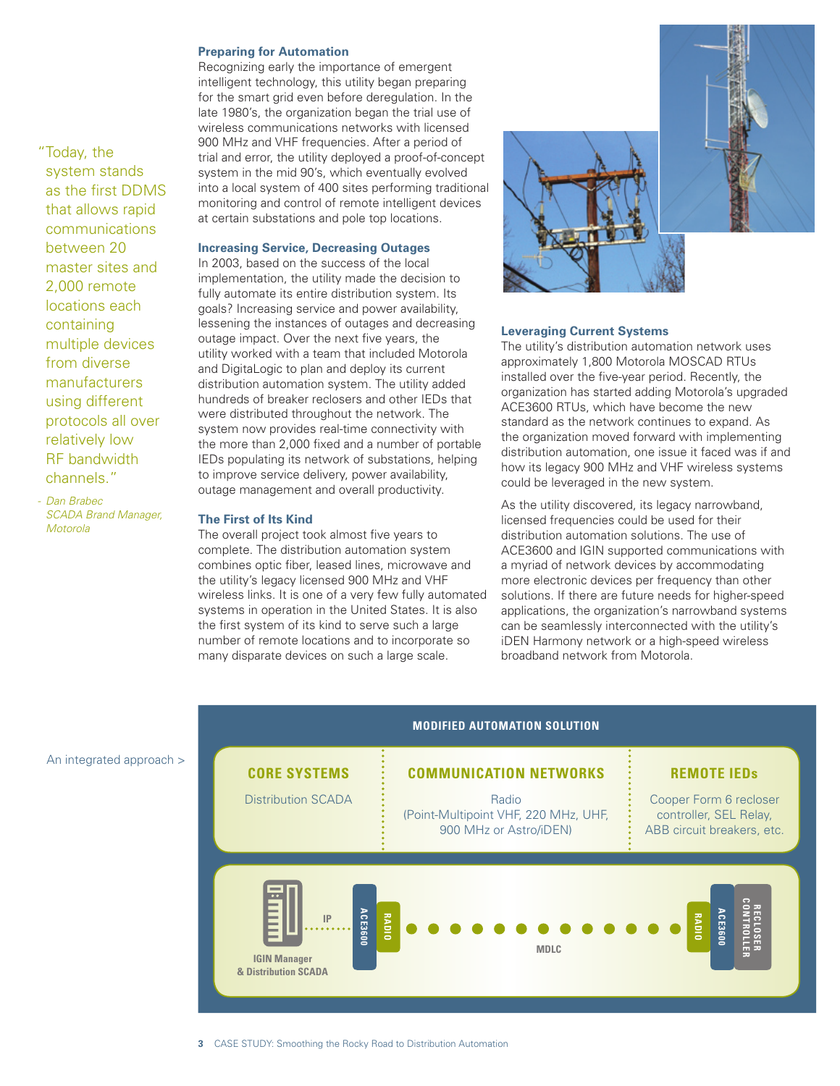#### **Preparing for Automation**

Recognizing early the importance of emergent intelligent technology, this utility began preparing for the smart grid even before deregulation. In the late 1980's, the organization began the trial use of wireless communications networks with licensed 900 MHz and VHF frequencies. After a period of trial and error, the utility deployed a proof-of-concept system in the mid 90's, which eventually evolved into a local system of 400 sites performing traditional monitoring and control of remote intelligent devices at certain substations and pole top locations.

## **Increasing Service, Decreasing Outages**

In 2003, based on the success of the local implementation, the utility made the decision to fully automate its entire distribution system. Its goals? Increasing service and power availability, lessening the instances of outages and decreasing outage impact. Over the next five years, the utility worked with a team that included Motorola and DigitaLogic to plan and deploy its current distribution automation system. The utility added hundreds of breaker reclosers and other IEDs that were distributed throughout the network. The system now provides real-time connectivity with the more than 2,000 fixed and a number of portable IEDs populating its network of substations, helping to improve service delivery, power availability, outage management and overall productivity.

#### **The First of Its Kind**

The overall project took almost five years to complete. The distribution automation system combines optic fiber, leased lines, microwave and the utility's legacy licensed 900 MHz and VHF wireless links. It is one of a very few fully automated systems in operation in the United States. It is also the first system of its kind to serve such a large number of remote locations and to incorporate so many disparate devices on such a large scale.



#### **Leveraging Current Systems**

The utility's distribution automation network uses approximately 1,800 Motorola MOSCAD RTUs installed over the five-year period. Recently, the organization has started adding Motorola's upgraded ACE3600 RTUs, which have become the new standard as the network continues to expand. As the organization moved forward with implementing distribution automation, one issue it faced was if and how its legacy 900 MHz and VHF wireless systems could be leveraged in the new system.

As the utility discovered, its legacy narrowband, licensed frequencies could be used for their distribution automation solutions. The use of ACE3600 and IGIN supported communications with a myriad of network devices by accommodating more electronic devices per frequency than other solutions. If there are future needs for higher-speed applications, the organization's narrowband systems can be seamlessly interconnected with the utility's iDEN Harmony network or a high-speed wireless broadband network from Motorola.



An integrated approach >

*SCADA Brand Manager,* 

*Motorola*

"Today, the system stands as the first DDMS that allows rapid communications between 20 master sites and 2,000 remote locations each containing multiple devices from diverse manufacturers using different protocols all over relatively low RF bandwidth channels." *- Dan Brabec*